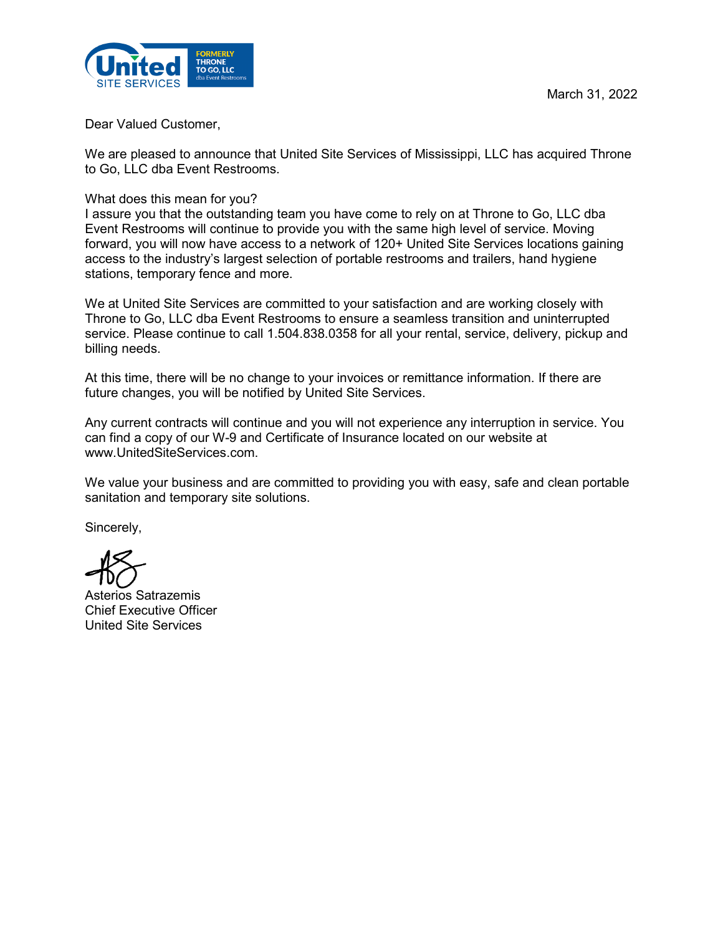

Dear Valued Customer,

We are pleased to announce that United Site Services of Mississippi, LLC has acquired Throne to Go, LLC dba Event Restrooms.

What does this mean for you?

I assure you that the outstanding team you have come to rely on at Throne to Go, LLC dba Event Restrooms will continue to provide you with the same high level of service. Moving forward, you will now have access to a network of 120+ United Site Services locations gaining access to the industry's largest selection of portable restrooms and trailers, hand hygiene stations, temporary fence and more.

We at United Site Services are committed to your satisfaction and are working closely with Throne to Go, LLC dba Event Restrooms to ensure a seamless transition and uninterrupted service. Please continue to call 1.504.838.0358 for all your rental, service, delivery, pickup and billing needs.

At this time, there will be no change to your invoices or remittance information. If there are future changes, you will be notified by United Site Services.

Any current contracts will continue and you will not experience any interruption in service. You can find a copy of our W-9 and Certificate of Insurance located on our website at www.UnitedSiteServices.com.

We value your business and are committed to providing you with easy, safe and clean portable sanitation and temporary site solutions.

Sincerely,

Asterios Satrazemis Chief Executive Officer United Site Services